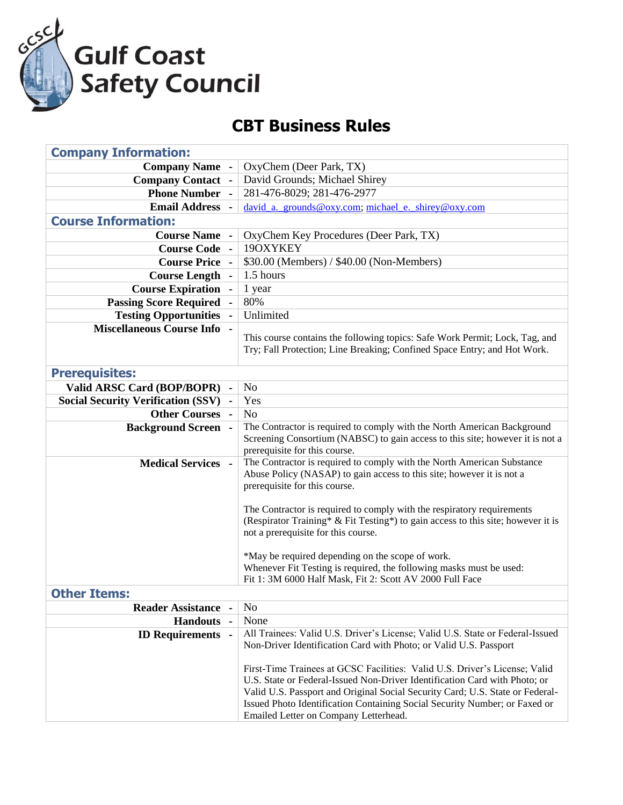

## **CBT Business Rules**

| <b>Company Information:</b>               |                                                                                                                                                                                                                                                                                                                                                                  |
|-------------------------------------------|------------------------------------------------------------------------------------------------------------------------------------------------------------------------------------------------------------------------------------------------------------------------------------------------------------------------------------------------------------------|
| <b>Company Name -</b>                     | OxyChem (Deer Park, TX)                                                                                                                                                                                                                                                                                                                                          |
| <b>Company Contact -</b>                  | David Grounds; Michael Shirey                                                                                                                                                                                                                                                                                                                                    |
| <b>Phone Number</b>                       | 281-476-8029; 281-476-2977                                                                                                                                                                                                                                                                                                                                       |
| <b>Email Address</b>                      | david_a._grounds@oxy.com; michael_e._shirey@oxy.com                                                                                                                                                                                                                                                                                                              |
| <b>Course Information:</b>                |                                                                                                                                                                                                                                                                                                                                                                  |
| <b>Course Name -</b>                      | OxyChem Key Procedures (Deer Park, TX)                                                                                                                                                                                                                                                                                                                           |
| <b>Course Code</b>                        | 19OXYKEY                                                                                                                                                                                                                                                                                                                                                         |
| <b>Course Price -</b>                     | \$30.00 (Members) / \$40.00 (Non-Members)                                                                                                                                                                                                                                                                                                                        |
| <b>Course Length -</b>                    | 1.5 hours                                                                                                                                                                                                                                                                                                                                                        |
| <b>Course Expiration</b>                  | 1 year                                                                                                                                                                                                                                                                                                                                                           |
| <b>Passing Score Required</b>             | 80%                                                                                                                                                                                                                                                                                                                                                              |
| <b>Testing Opportunities</b>              | Unlimited                                                                                                                                                                                                                                                                                                                                                        |
| <b>Miscellaneous Course Info -</b>        | This course contains the following topics: Safe Work Permit; Lock, Tag, and<br>Try; Fall Protection; Line Breaking; Confined Space Entry; and Hot Work.                                                                                                                                                                                                          |
| <b>Prerequisites:</b>                     |                                                                                                                                                                                                                                                                                                                                                                  |
| Valid ARSC Card (BOP/BOPR)                | N <sub>o</sub>                                                                                                                                                                                                                                                                                                                                                   |
| <b>Social Security Verification (SSV)</b> | Yes                                                                                                                                                                                                                                                                                                                                                              |
| <b>Other Courses</b>                      | N <sub>o</sub>                                                                                                                                                                                                                                                                                                                                                   |
| <b>Background Screen -</b>                | The Contractor is required to comply with the North American Background<br>Screening Consortium (NABSC) to gain access to this site; however it is not a<br>prerequisite for this course.                                                                                                                                                                        |
| <b>Medical Services -</b>                 | The Contractor is required to comply with the North American Substance<br>Abuse Policy (NASAP) to gain access to this site; however it is not a<br>prerequisite for this course.                                                                                                                                                                                 |
|                                           | The Contractor is required to comply with the respiratory requirements<br>(Respirator Training* & Fit Testing*) to gain access to this site; however it is<br>not a prerequisite for this course.                                                                                                                                                                |
|                                           | *May be required depending on the scope of work.                                                                                                                                                                                                                                                                                                                 |
|                                           | Whenever Fit Testing is required, the following masks must be used:                                                                                                                                                                                                                                                                                              |
|                                           | Fit 1: 3M 6000 Half Mask, Fit 2: Scott AV 2000 Full Face                                                                                                                                                                                                                                                                                                         |
| <b>Other Items:</b>                       |                                                                                                                                                                                                                                                                                                                                                                  |
| <b>Reader Assistance</b>                  | No                                                                                                                                                                                                                                                                                                                                                               |
| <b>Handouts</b>                           | None                                                                                                                                                                                                                                                                                                                                                             |
| <b>ID Requirements</b> -                  | All Trainees: Valid U.S. Driver's License; Valid U.S. State or Federal-Issued<br>Non-Driver Identification Card with Photo; or Valid U.S. Passport                                                                                                                                                                                                               |
|                                           | First-Time Trainees at GCSC Facilities: Valid U.S. Driver's License; Valid<br>U.S. State or Federal-Issued Non-Driver Identification Card with Photo; or<br>Valid U.S. Passport and Original Social Security Card; U.S. State or Federal-<br>Issued Photo Identification Containing Social Security Number; or Faxed or<br>Emailed Letter on Company Letterhead. |